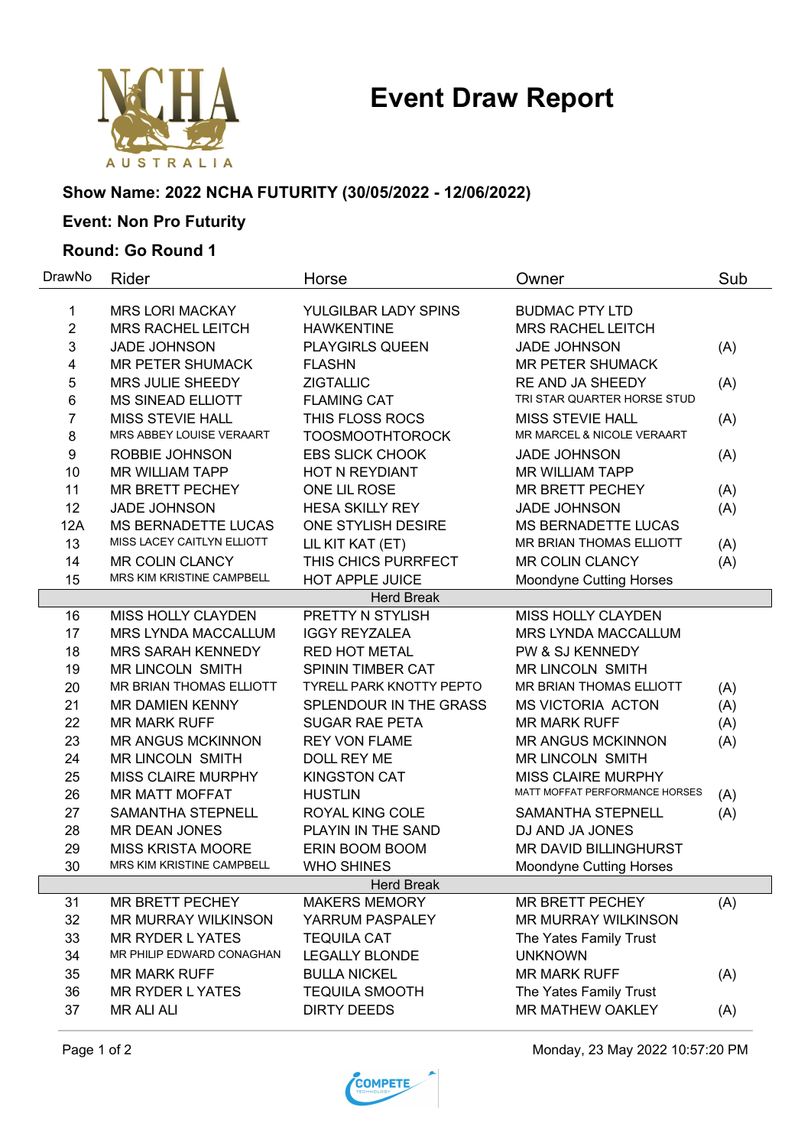# **Event Draw Report**



### **Show Name: 2022 NCHA FUTURITY (30/05/2022 - 12/06/2022)**

## **Event: Non Pro Futurity**

#### **Round: Go Round 1**

| DrawNo         | Rider                      | Horse                                       | Owner                                    | Sub        |
|----------------|----------------------------|---------------------------------------------|------------------------------------------|------------|
| $\mathbf{1}$   | <b>MRS LORI MACKAY</b>     | YULGILBAR LADY SPINS                        | <b>BUDMAC PTY LTD</b>                    |            |
| $\overline{2}$ | <b>MRS RACHEL LEITCH</b>   | <b>HAWKENTINE</b>                           | <b>MRS RACHEL LEITCH</b>                 |            |
| $\mathbf{3}$   | <b>JADE JOHNSON</b>        | PLAYGIRLS QUEEN                             | <b>JADE JOHNSON</b>                      | (A)        |
| 4              | <b>MR PETER SHUMACK</b>    | <b>FLASHN</b>                               | <b>MR PETER SHUMACK</b>                  |            |
| 5              | MRS JULIE SHEEDY           | <b>ZIGTALLIC</b>                            | RE AND JA SHEEDY                         | (A)        |
| 6              | <b>MS SINEAD ELLIOTT</b>   | <b>FLAMING CAT</b>                          | TRI STAR QUARTER HORSE STUD              |            |
| 7              | <b>MISS STEVIE HALL</b>    | THIS FLOSS ROCS                             | <b>MISS STEVIE HALL</b>                  | (A)        |
| 8              | MRS ABBEY LOUISE VERAART   | <b>TOOSMOOTHTOROCK</b>                      | MR MARCEL & NICOLE VERAART               |            |
| 9              | ROBBIE JOHNSON             | <b>EBS SLICK CHOOK</b>                      | <b>JADE JOHNSON</b>                      | (A)        |
| 10             | <b>MR WILLIAM TAPP</b>     | HOT N REYDIANT                              | <b>MR WILLIAM TAPP</b>                   |            |
| 11             | MR BRETT PECHEY            | ONE LIL ROSE                                | <b>MR BRETT PECHEY</b>                   | (A)        |
| 12             | <b>JADE JOHNSON</b>        | <b>HESA SKILLY REY</b>                      | <b>JADE JOHNSON</b>                      | (A)        |
| 12A            | <b>MS BERNADETTE LUCAS</b> | ONE STYLISH DESIRE                          | <b>MS BERNADETTE LUCAS</b>               |            |
| 13             | MISS LACEY CAITLYN ELLIOTT | LIL KIT KAT (ET)                            | MR BRIAN THOMAS ELLIOTT                  |            |
| 14             | MR COLIN CLANCY            | THIS CHICS PURRFECT                         | <b>MR COLIN CLANCY</b>                   | (A)        |
| 15             | MRS KIM KRISTINE CAMPBELL  | <b>HOT APPLE JUICE</b>                      | <b>Moondyne Cutting Horses</b>           | (A)        |
|                |                            | <b>Herd Break</b>                           |                                          |            |
| 16             | MISS HOLLY CLAYDEN         | PRETTY N STYLISH                            | MISS HOLLY CLAYDEN                       |            |
| 17             | MRS LYNDA MACCALLUM        | <b>IGGY REYZALEA</b>                        | MRS LYNDA MACCALLUM                      |            |
| 18             | <b>MRS SARAH KENNEDY</b>   | <b>RED HOT METAL</b>                        | PW & SJ KENNEDY                          |            |
| 19             | <b>MR LINCOLN SMITH</b>    | SPININ TIMBER CAT                           | <b>MR LINCOLN SMITH</b>                  |            |
| 20             | MR BRIAN THOMAS ELLIOTT    | <b>TYRELL PARK KNOTTY PEPTO</b>             | MR BRIAN THOMAS ELLIOTT                  | (A)        |
| 21             | <b>MR DAMIEN KENNY</b>     | SPLENDOUR IN THE GRASS                      | <b>MS VICTORIA ACTON</b>                 | (A)        |
| 22             | <b>MR MARK RUFF</b>        | <b>SUGAR RAE PETA</b>                       | <b>MR MARK RUFF</b>                      | (A)        |
| 23             | <b>MR ANGUS MCKINNON</b>   | <b>REY VON FLAME</b>                        | <b>MR ANGUS MCKINNON</b>                 | (A)        |
| 24             | <b>MR LINCOLN SMITH</b>    | DOLL REY ME                                 | <b>MR LINCOLN SMITH</b>                  |            |
| 25             | <b>MISS CLAIRE MURPHY</b>  | <b>KINGSTON CAT</b>                         | <b>MISS CLAIRE MURPHY</b>                |            |
| 26             | <b>MR MATT MOFFAT</b>      | <b>HUSTLIN</b>                              | MATT MOFFAT PERFORMANCE HORSES           |            |
| 27             | SAMANTHA STEPNELL          | ROYAL KING COLE                             | SAMANTHA STEPNELL                        | (A)<br>(A) |
| 28             | <b>MR DEAN JONES</b>       | PLAYIN IN THE SAND                          | DJ AND JA JONES                          |            |
| 29             | <b>MISS KRISTA MOORE</b>   | ERIN BOOM BOOM                              | MR DAVID BILLINGHURST                    |            |
| 30             | MRS KIM KRISTINE CAMPBELL  | <b>WHO SHINES</b>                           | <b>Moondyne Cutting Horses</b>           |            |
|                |                            | Herd Break                                  |                                          |            |
| 31             | MR BRETT PECHEY            | <b>MAKERS MEMORY</b>                        | MR BRETT PECHEY                          |            |
| 32             | <b>MR MURRAY WILKINSON</b> | YARRUM PASPALEY                             | <b>MR MURRAY WILKINSON</b>               | (A)        |
|                | <b>MR RYDER LYATES</b>     |                                             |                                          |            |
| 33<br>34       | MR PHILIP EDWARD CONAGHAN  | <b>TEQUILA CAT</b><br><b>LEGALLY BLONDE</b> | The Yates Family Trust<br><b>UNKNOWN</b> |            |
|                |                            |                                             |                                          |            |
| 35             | <b>MR MARK RUFF</b>        | <b>BULLA NICKEL</b>                         | <b>MR MARK RUFF</b>                      | (A)        |
| 36             | <b>MR RYDER LYATES</b>     | <b>TEQUILA SMOOTH</b>                       | The Yates Family Trust                   |            |
| 37             | <b>MR ALI ALI</b>          | <b>DIRTY DEEDS</b>                          | MR MATHEW OAKLEY                         | (A)        |

Page 1 of 2 **Monday, 23 May 2022 10:57:20 PM**